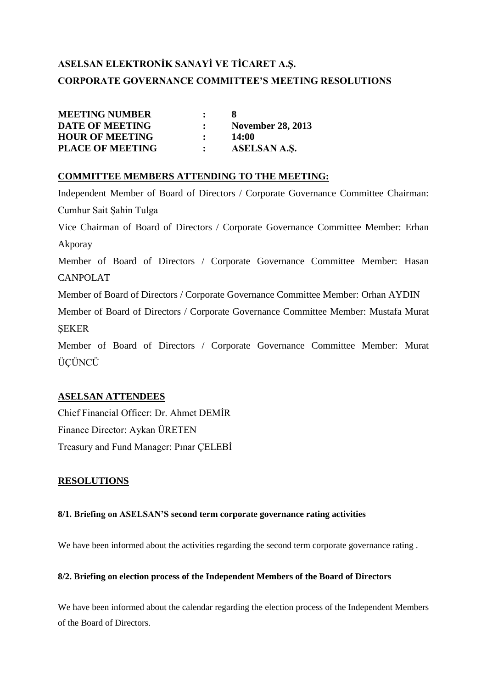# **ASELSAN ELEKTRONİK SANAYİ VE TİCARET A.Ş. CORPORATE GOVERNANCE COMMITTEE'S MEETING RESOLUTIONS**

| <b>MEETING NUMBER</b>   | $\mathbf{r}$ |                          |
|-------------------------|--------------|--------------------------|
| <b>DATE OF MEETING</b>  |              | <b>November 28, 2013</b> |
| <b>HOUR OF MEETING</b>  |              | <b>14:00</b>             |
| <b>PLACE OF MEETING</b> |              | ASELSAN A.S.             |

### **COMMITTEE MEMBERS ATTENDING TO THE MEETING:**

Independent Member of Board of Directors / Corporate Governance Committee Chairman: Cumhur Sait Şahin Tulga Vice Chairman of Board of Directors / Corporate Governance Committee Member: Erhan Akporay Member of Board of Directors / Corporate Governance Committee Member: Hasan CANPOLAT Member of Board of Directors / Corporate Governance Committee Member: Orhan AYDIN Member of Board of Directors / Corporate Governance Committee Member: Mustafa Murat ŞEKER Member of Board of Directors / Corporate Governance Committee Member: Murat ÜÇÜNCÜ

### **ASELSAN ATTENDEES**

Chief Financial Officer: Dr. Ahmet DEMİR Finance Director: Aykan ÜRETEN Treasury and Fund Manager: Pınar ÇELEBİ

### **RESOLUTIONS**

### **8/1. Briefing on ASELSAN'S second term corporate governance rating activities**

We have been informed about the activities regarding the second term corporate governance rating .

#### **8/2. Briefing on election process of the Independent Members of the Board of Directors**

We have been informed about the calendar regarding the election process of the Independent Members of the Board of Directors.